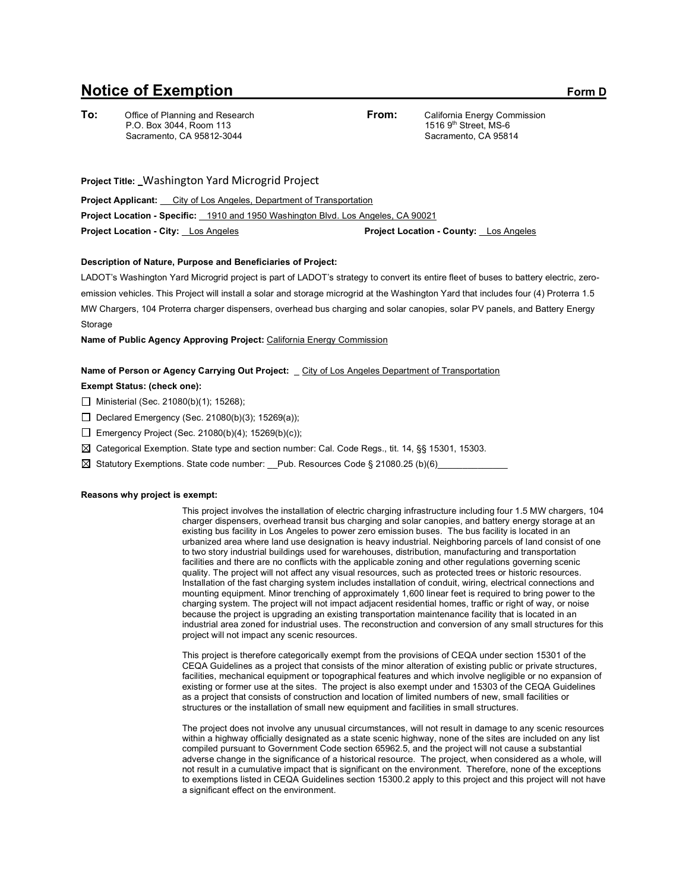# **Notice of Exemption** Form D

**To:** Office of Planning and Research P.O. Box 3044, Room 113 Sacramento, CA 95812-3044

**From:** California Energy Commission 1516 9th Street, MS-6 Sacramento, CA 95814

**Project Title:** \_Washington Yard Microgrid Project

**Project Applicant:** \_\_ City of Los Angeles, Department of Transportation **Project Location - Specific:** \_ 1910 and 1950 Washington Blvd. Los Angeles, CA 90021 **Project Location - City:** \_ Los Angeles **Project Location - County:** \_ Los Angeles

# **Description of Nature, Purpose and Beneficiaries of Project:**

LADOT's Washington Yard Microgrid project is part of LADOT's strategy to convert its entire fleet of buses to battery electric, zeroemission vehicles. This Project will install a solar and storage microgrid at the Washington Yard that includes four (4) Proterra 1.5 MW Chargers, 104 Proterra charger dispensers, overhead bus charging and solar canopies, solar PV panels, and Battery Energy **Storage** 

**Name of Public Agency Approving Project:** California Energy Commission

## **Name of Person or Agency Carrying Out Project:** \_ City of Los Angeles Department of Transportation

# **Exempt Status: (check one):**

- Ministerial (Sec. 21080(b)(1); 15268);
- Declared Emergency (Sec. 21080(b)(3); 15269(a));
- $\Box$  Emergency Project (Sec. 21080(b)(4); 15269(b)(c));
- $\boxtimes$  Categorical Exemption. State type and section number: Cal. Code Regs., tit. 14, §§ 15301, 15303.

 $\boxtimes$  Statutory Exemptions. State code number:  $\text{Pub.}$  Resources Code § 21080.25 (b)(6)

#### **Reasons why project is exempt:**

This project involves the installation of electric charging infrastructure including four 1.5 MW chargers, 104 charger dispensers, overhead transit bus charging and solar canopies, and battery energy storage at an existing bus facility in Los Angeles to power zero emission buses. The bus facility is located in an urbanized area where land use designation is heavy industrial. Neighboring parcels of land consist of one to two story industrial buildings used for warehouses, distribution, manufacturing and transportation facilities and there are no conflicts with the applicable zoning and other regulations governing scenic quality. The project will not affect any visual resources, such as protected trees or historic resources. Installation of the fast charging system includes installation of conduit, wiring, electrical connections and mounting equipment. Minor trenching of approximately 1,600 linear feet is required to bring power to the charging system. The project will not impact adjacent residential homes, traffic or right of way, or noise because the project is upgrading an existing transportation maintenance facility that is located in an industrial area zoned for industrial uses. The reconstruction and conversion of any small structures for this project will not impact any scenic resources.

This project is therefore categorically exempt from the provisions of CEQA under section 15301 of the CEQA Guidelines as a project that consists of the minor alteration of existing public or private structures, facilities, mechanical equipment or topographical features and which involve negligible or no expansion of existing or former use at the sites. The project is also exempt under and 15303 of the CEQA Guidelines as a project that consists of construction and location of limited numbers of new, small facilities or structures or the installation of small new equipment and facilities in small structures.

The project does not involve any unusual circumstances, will not result in damage to any scenic resources within a highway officially designated as a state scenic highway, none of the sites are included on any list compiled pursuant to Government Code section 65962.5, and the project will not cause a substantial adverse change in the significance of a historical resource. The project, when considered as a whole, will not result in a cumulative impact that is significant on the environment. Therefore, none of the exceptions to exemptions listed in CEQA Guidelines section 15300.2 apply to this project and this project will not have a significant effect on the environment.